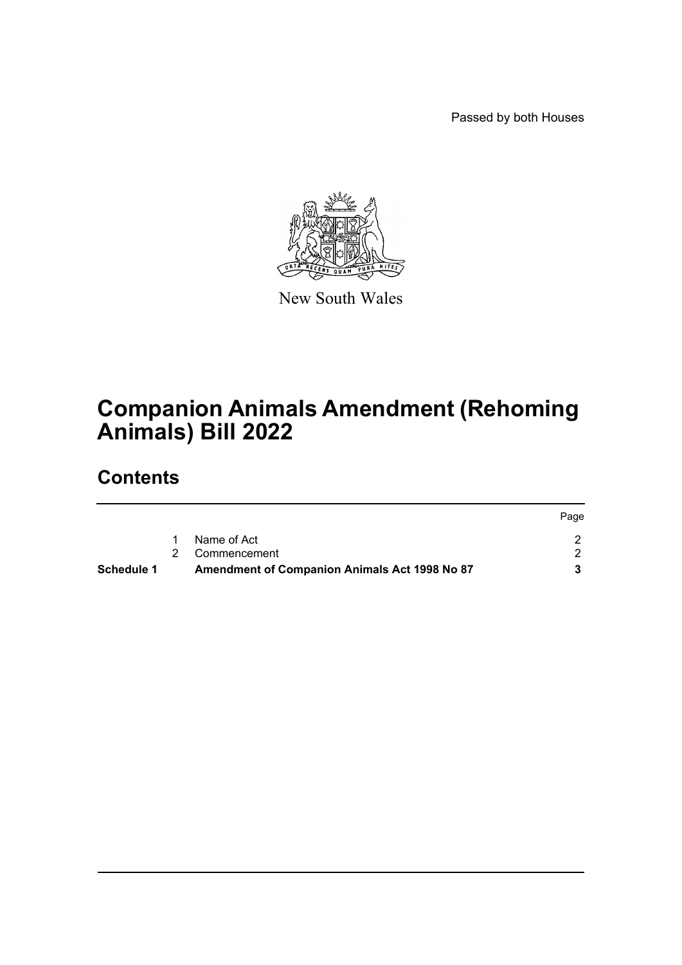Passed by both Houses



New South Wales

# **Companion Animals Amendment (Rehoming Animals) Bill 2022**

## **Contents**

| Schedule 1 | <b>Amendment of Companion Animals Act 1998 No 87</b> |      |
|------------|------------------------------------------------------|------|
|            | 2 Commencement                                       |      |
|            | Name of Act                                          |      |
|            |                                                      | Page |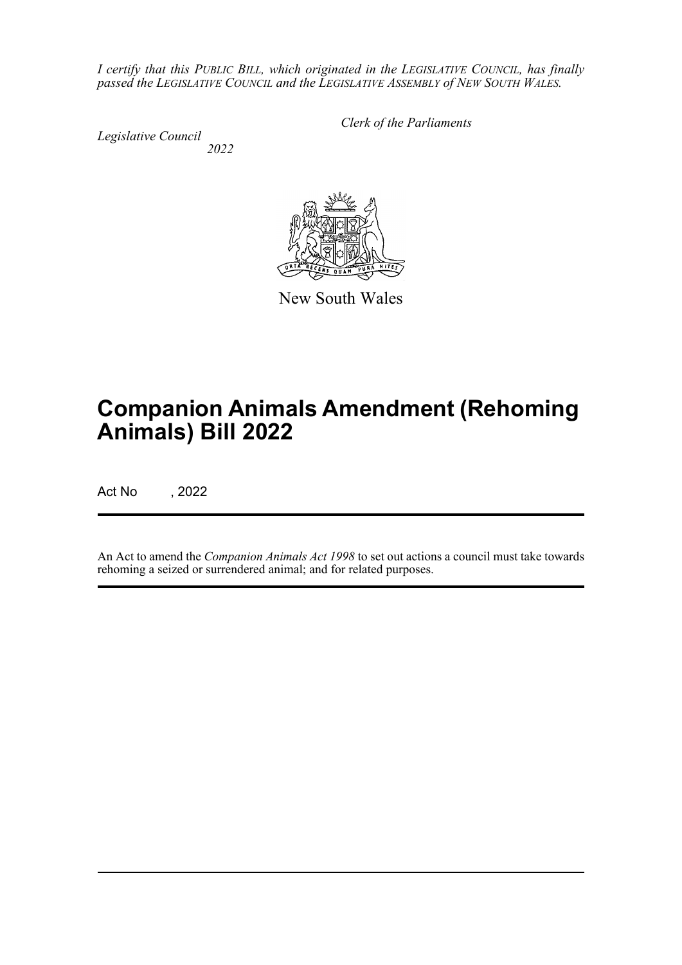*I certify that this PUBLIC BILL, which originated in the LEGISLATIVE COUNCIL, has finally passed the LEGISLATIVE COUNCIL and the LEGISLATIVE ASSEMBLY of NEW SOUTH WALES.*

*Legislative Council 2022* *Clerk of the Parliaments*

New South Wales

# **Companion Animals Amendment (Rehoming Animals) Bill 2022**

Act No , 2022

An Act to amend the *Companion Animals Act 1998* to set out actions a council must take towards rehoming a seized or surrendered animal; and for related purposes.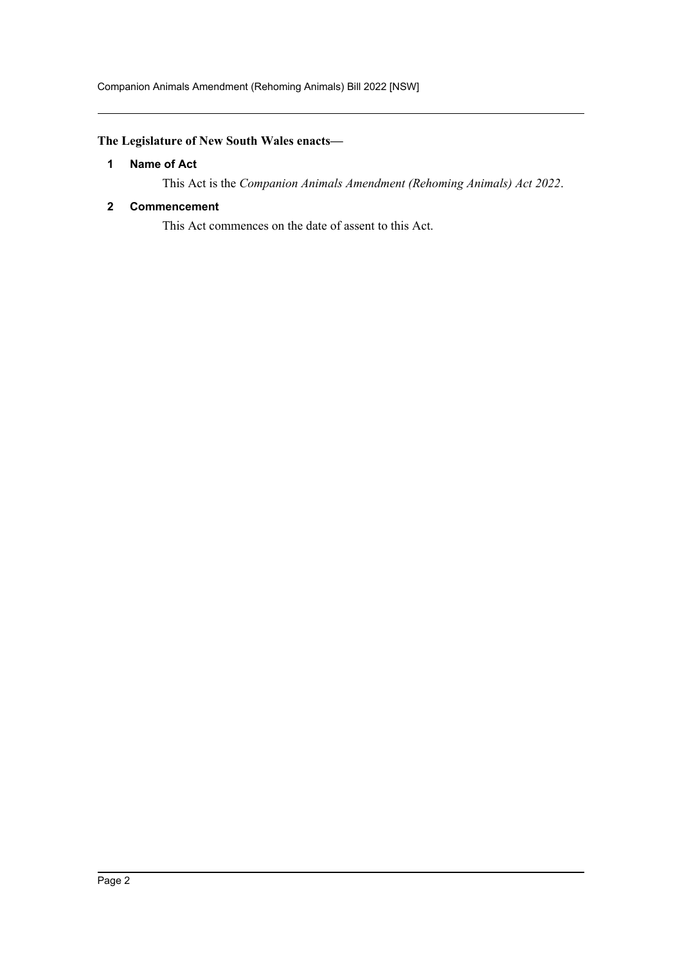### <span id="page-2-0"></span>**The Legislature of New South Wales enacts—**

#### **1 Name of Act**

This Act is the *Companion Animals Amendment (Rehoming Animals) Act 2022*.

#### <span id="page-2-1"></span>**2 Commencement**

This Act commences on the date of assent to this Act.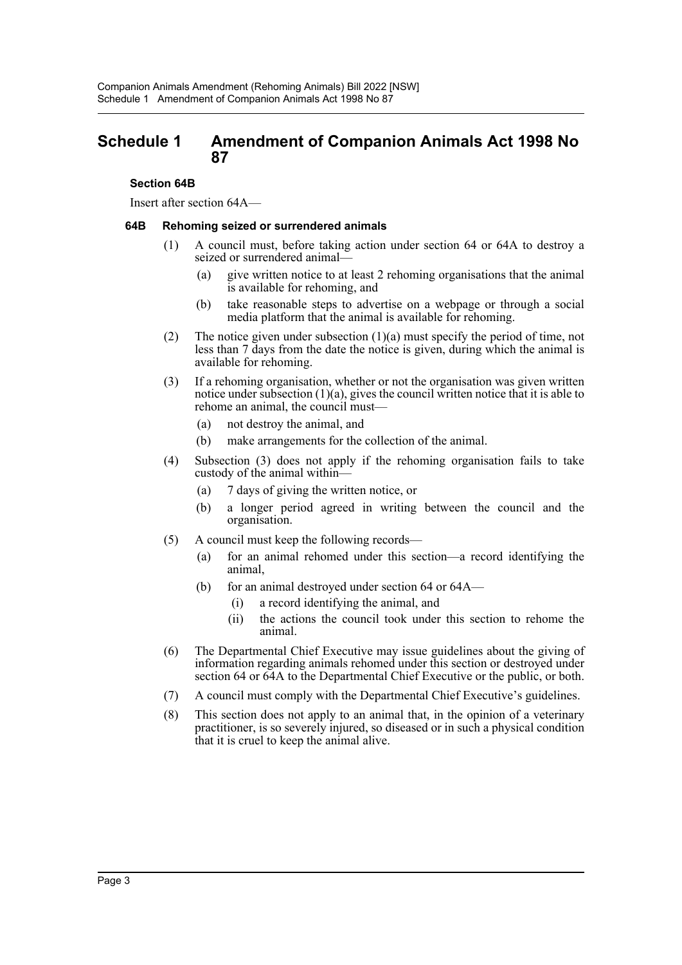### <span id="page-3-0"></span>**Schedule 1 Amendment of Companion Animals Act 1998 No 87**

#### **Section 64B**

Insert after section 64A—

#### **64B Rehoming seized or surrendered animals**

- (1) A council must, before taking action under section 64 or 64A to destroy a seized or surrendered animal—
	- (a) give written notice to at least 2 rehoming organisations that the animal is available for rehoming, and
	- (b) take reasonable steps to advertise on a webpage or through a social media platform that the animal is available for rehoming.
- (2) The notice given under subsection  $(1)(a)$  must specify the period of time, not less than 7 days from the date the notice is given, during which the animal is available for rehoming.
- (3) If a rehoming organisation, whether or not the organisation was given written notice under subsection  $(1)(a)$ , gives the council written notice that it is able to rehome an animal, the council must—
	- (a) not destroy the animal, and
	- (b) make arrangements for the collection of the animal.
- (4) Subsection (3) does not apply if the rehoming organisation fails to take custody of the animal within—
	- (a) 7 days of giving the written notice, or
	- (b) a longer period agreed in writing between the council and the organisation.
- (5) A council must keep the following records—
	- (a) for an animal rehomed under this section—a record identifying the animal,
	- (b) for an animal destroyed under section 64 or 64A—
		- (i) a record identifying the animal, and
		- (ii) the actions the council took under this section to rehome the animal.
- (6) The Departmental Chief Executive may issue guidelines about the giving of information regarding animals rehomed under this section or destroyed under section 64 or 64A to the Departmental Chief Executive or the public, or both.
- (7) A council must comply with the Departmental Chief Executive's guidelines.
- (8) This section does not apply to an animal that, in the opinion of a veterinary practitioner, is so severely injured, so diseased or in such a physical condition that it is cruel to keep the animal alive.